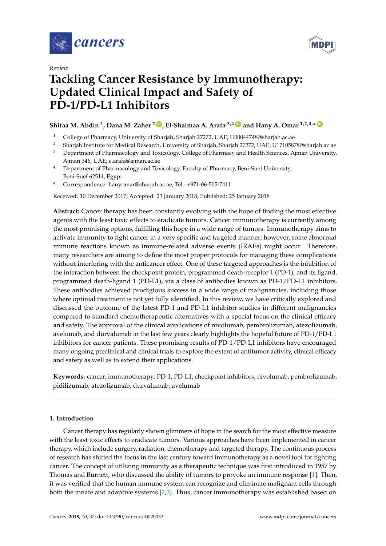

*Review*



# **Tackling Cancer Resistance by Immunotherapy: Updated Clinical Impact and Safety of PD-1/PD-L1 Inhibitors**

## **Shifaa M. Abdin <sup>1</sup> , Dana M. Zaher <sup>2</sup> ID , El-Shaimaa A. Arafa 3,4 ID and Hany A. Omar 1,2,4,\* ID**

- <sup>1</sup> College of Pharmacy, University of Sharjah, Sharjah 27272, UAE; U00044748@sharjah.ac.ae
- <sup>2</sup> Sharjah Institute for Medical Research, University of Sharjah, Sharjah 27272, UAE; U17105878@sharjah.ac.ae<br><sup>3</sup> Department of Pharmacology and Tavisology College of Pharmacy and Hoelth Sciences, Aiman University
- <sup>3</sup> Department of Pharmacology and Toxicology, College of Pharmacy and Health Sciences, Ajman University, Ajman 346, UAE; e.arafa@ajman.ac.ae
- <sup>4</sup> Department of Pharmacology and Toxicology, Faculty of Pharmacy, Beni-Suef University, Beni-Suef 62514, Egypt
- **\*** Correspondence: hanyomar@sharjah.ac.ae; Tel.: +971-06-505-7411

Received: 10 December 2017; Accepted: 23 January 2018; Published: 25 January 2018

**Abstract:** Cancer therapy has been constantly evolving with the hope of finding the most effective agents with the least toxic effects to eradicate tumors. Cancer immunotherapy is currently among the most promising options, fulfilling this hope in a wide range of tumors. Immunotherapy aims to activate immunity to fight cancer in a very specific and targeted manner; however, some abnormal immune reactions known as immune-related adverse events (IRAEs) might occur. Therefore, many researchers are aiming to define the most proper protocols for managing these complications without interfering with the anticancer effect. One of these targeted approaches is the inhibition of the interaction between the checkpoint protein, programmed death-receptor 1 (PD-1), and its ligand, programmed death-ligand 1 (PD-L1), via a class of antibodies known as PD-1/PD-L1 inhibitors. These antibodies achieved prodigious success in a wide range of malignancies, including those where optimal treatment is not yet fully identified. In this review, we have critically explored and discussed the outcome of the latest PD-1 and PD-L1 inhibitor studies in different malignancies compared to standard chemotherapeutic alternatives with a special focus on the clinical efficacy and safety. The approval of the clinical applications of nivolumab, pembrolizumab, atezolizumab, avelumab, and durvalumab in the last few years clearly highlights the hopeful future of PD-1/PD-L1 inhibitors for cancer patients. These promising results of PD-1/PD-L1 inhibitors have encouraged many ongoing preclinical and clinical trials to explore the extent of antitumor activity, clinical efficacy and safety as well as to extend their applications.

**Keywords:** cancer; immunotherapy; PD-1; PD-L1; checkpoint inhibitors; nivolumab; pembrolizumab; pidilizumab; atezolizumab; durvalumab; avelumab

## **1. Introduction**

Cancer therapy has regularly shown glimmers of hope in the search for the most effective measure with the least toxic effects to eradicate tumors. Various approaches have been implemented in cancer therapy, which include surgery, radiation, chemotherapy and targeted therapy. The continuous process of research has shifted the focus in the last century toward immunotherapy as a novel tool for fighting cancer. The concept of utilizing immunity as a therapeutic technique was first introduced in 1957 by Thomas and Burnett, who discussed the ability of tumors to provoke an immune response [1]. Then, it was verified that the human immune system can recognize and eliminate malignant cells through both the innate and adaptive systems [2,3]. Thus, cancer immunotherapy was established based on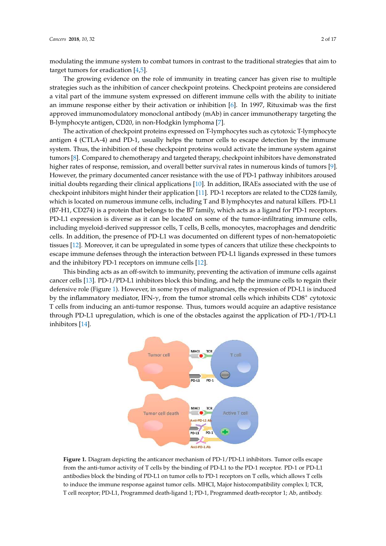modulating the immune system to combat tumors in contrast to the traditional strategies that aim to target tumors for eradication [4,5].

The growing evidence on the role of immunity in treating cancer has given rise to multiple strategies such as the inhibition of cancer checkpoint proteins. Checkpoint proteins are considered a vital part of the immune system expressed on different immune cells with the ability to initiate an immune response either by their activation or inhibition [6]. In 1997, Rituximab was the first approved immunomodulatory monoclonal antibody (mAb) in cancer immunotherapy targeting the B-lymphocyte antigen, CD20, in non-Hodgkin lymphoma [7].

The activation of checkpoint proteins expressed on T-lymphocytes such as cytotoxic T-lymphocyte antigen 4 (CTLA-4) and PD-1, usually helps the tumor cells to escape detection by the immune system. Thus, the inhibition of these checkpoint proteins would activate the immune system against tumors [8]. Compared to chemotherapy and targeted therapy, checkpoint inhibitors have demonstrated higher rates of response, remission, and overall better survival rates in numerous kinds of tumors [9]. However, the primary documented cancer resistance with the use of PD-1 pathway inhibitors aroused initial doubts regarding their clinical applications [10]. In addition, IRAEs associated with the use of checkpoint inhibitors might hinder their application [11]. PD-1 receptors are related to the CD28 family, which is located on numerous immune cells, including T and B lymphocytes and natural killers. PD-L1 (B7-H1, CD274) is a protein that belongs to the B7 family, which acts as a ligand for PD-1 receptors. PD-L1 expression is diverse as it can be located on some of the tumor-infiltrating immune cells, including myeloid-derived suppressor cells, T cells, B cells, monocytes, macrophages and dendritic cells. In addition, the presence of PD-L1 was documented on different types of non-hematopoietic tissues [12]. Moreover, it can be upregulated in some types of cancers that utilize these checkpoints to escape immune defenses through the interaction between PD-L1 ligands expressed in these tumors and the inhibitory PD-1 receptors on immune cells [12].

This binding acts as an off-switch to immunity, preventing the activation of immune cells against cancer cells [13]. PD-1/PD-L1 inhibitors block this binding, and help the immune cells to regain their defensive role (Figure 1). However, in some types of malignancies, the expression of PD-L1 is induced by the inflammatory mediator, IFN- $\gamma$ , from the tumor stromal cells which inhibits CD8<sup>+</sup> cytotoxic T cells from inducing an anti-tumor response. Thus, tumors would acquire an adaptive resistance γ through PD-L1 upregulation, which is one of the obstacles against the application of PD-1/PD-L1 inhibitors [14].



**Figure 1.** Diagram depicting the anticancer mechanism of PD-1/PD-L1 inhibitors. Tumor cells escape from the anti-tumor activity of T cells by the binding of PD-L1 to the PD-1 receptor. PD-1 or PD-L1 antibodies block the binding of PD-L1 on tumor cells to PD-1 receptors on T cells, which allows T cells to induce the immune response against tumor cells. MHCI, Major histocompatibility complex I; TCR, T cell receptor; PD-L1, Programmed death-ligand 1; PD-1, Programmed death-receptor 1; Ab, antibody.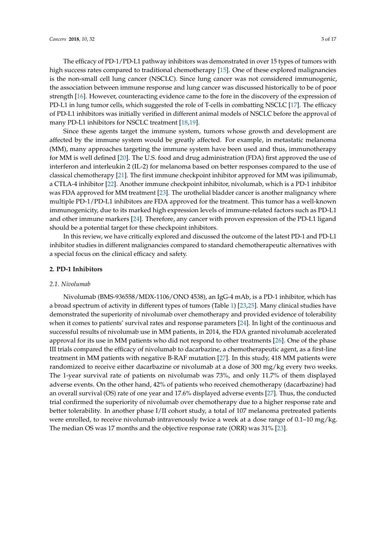The efficacy of PD-1/PD-L1 pathway inhibitors was demonstrated in over 15 types of tumors with high success rates compared to traditional chemotherapy [15]. One of these explored malignancies is the non-small cell lung cancer (NSCLC). Since lung cancer was not considered immunogenic, the association between immune response and lung cancer was discussed historically to be of poor strength [16]. However, counteracting evidence came to the fore in the discovery of the expression of PD-L1 in lung tumor cells, which suggested the role of T-cells in combatting NSCLC [17]. The efficacy of PD-L1 inhibitors was initially verified in different animal models of NSCLC before the approval of many PD-L1 inhibitors for NSCLC treatment [18,19].

Since these agents target the immune system, tumors whose growth and development are affected by the immune system would be greatly affected. For example, in metastatic melanoma (MM), many approaches targeting the immune system have been used and thus, immunotherapy for MM is well defined [20]. The U.S. food and drug administration (FDA) first approved the use of interferon and interleukin 2 (IL-2) for melanoma based on better responses compared to the use of classical chemotherapy [21]. The first immune checkpoint inhibitor approved for MM was ipilimumab, a CTLA-4 inhibitor [22]. Another immune checkpoint inhibitor, nivolumab, which is a PD-1 inhibitor was FDA approved for MM treatment [23]. The urothelial bladder cancer is another malignancy where multiple PD-1/PD-L1 inhibitors are FDA approved for the treatment. This tumor has a well-known immunogenicity, due to its marked high expression levels of immune-related factors such as PD-L1 and other immune markers [24]. Therefore, any cancer with proven expression of the PD-L1 ligand should be a potential target for these checkpoint inhibitors.

In this review, we have critically explored and discussed the outcome of the latest PD-1 and PD-L1 inhibitor studies in different malignancies compared to standard chemotherapeutic alternatives with a special focus on the clinical efficacy and safety.

## **2. PD-1 Inhibitors**

## *2.1. Nivolumab*

Nivolumab (BMS-936558/MDX-1106/ONO 4538), an IgG-4 mAb, is a PD-1 inhibitor, which has a broad spectrum of activity in different types of tumors (Table 1) [23,25]. Many clinical studies have demonstrated the superiority of nivolumab over chemotherapy and provided evidence of tolerability when it comes to patients' survival rates and response parameters [24]. In light of the continuous and successful results of nivolumab use in MM patients, in 2014, the FDA granted nivolumab accelerated approval for its use in MM patients who did not respond to other treatments [26]. One of the phase III trials compared the efficacy of nivolumab to dacarbazine, a chemotherapeutic agent, as a first-line treatment in MM patients with negative B-RAF mutation [27]. In this study, 418 MM patients were randomized to receive either dacarbazine or nivolumab at a dose of 300 mg/kg every two weeks. The 1-year survival rate of patients on nivolumab was 73%, and only 11.7% of them displayed adverse events. On the other hand, 42% of patients who received chemotherapy (dacarbazine) had an overall survival (OS) rate of one year and 17.6% displayed adverse events [27]. Thus, the conducted trial confirmed the superiority of nivolumab over chemotherapy due to a higher response rate and better tolerability. In another phase I/II cohort study, a total of 107 melanoma pretreated patients were enrolled, to receive nivolumab intravenously twice a week at a dose range of 0.1–10 mg/kg. The median OS was 17 months and the objective response rate (ORR) was 31% [23].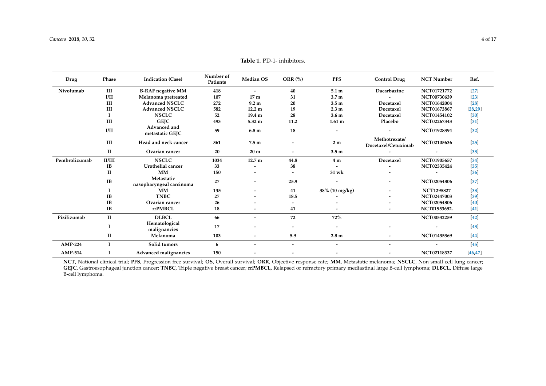**I**

**Hematological**

| Drug          | Phase        | <b>Indication (Case)</b>               | Number of<br>Patients | <b>Median OS</b>         | ORR $(\%)$               | <b>PFS</b>               | <b>Control Drug</b>                  | <b>NCT Number</b>        | Ref.     |
|---------------|--------------|----------------------------------------|-----------------------|--------------------------|--------------------------|--------------------------|--------------------------------------|--------------------------|----------|
| Nivolumab     | III          | <b>B-RAF</b> negative MM               | 418                   | $\overline{\phantom{0}}$ | 40                       | 5.1 m                    | Dacarbazine                          | NCT01721772              | $[27]$   |
|               | I/II         | Melanoma pretreated                    | 107                   | 17 <sub>m</sub>          | 31                       | 3.7 <sub>m</sub>         |                                      | NCT00730639              | $[23]$   |
|               | III          | <b>Advanced NSCLC</b>                  | 272                   | 9.2 <sub>m</sub>         | 20                       | 3.5 <sub>m</sub>         | Docetaxel                            | NCT01642004              | $[28]$   |
|               | III          | <b>Advanced NSCLC</b>                  | 582                   | 12.2 <sub>m</sub>        | 19                       | 2.3 <sub>m</sub>         | Docetaxel                            | NCT01673867              | [28, 29] |
|               |              | <b>NSCLC</b>                           | 52                    | 19.4 m                   | 28                       | 3.6 <sub>m</sub>         | Docetaxel                            | NCT01454102              | [30]     |
|               | III          | <b>GEJC</b>                            | 493                   | 5.32 m                   | 11.2                     | 1.61 <sub>m</sub>        | Placebo                              | NCT02267343              | $[31]$   |
|               | I/II         | Advanced and<br>metastatic GEJC        | 59                    | 6.8 <sub>m</sub>         | 18                       | $\overline{\phantom{a}}$ |                                      | NCT01928394              | $[32]$   |
|               | III          | Head and neck cancer                   | 361                   | 7.5 <sub>m</sub>         |                          | 2 <sub>m</sub>           | Methotrexate/<br>Docetaxel/Cetuximab | NCT02105636              | $[25]$   |
|               | П            | Ovarian cancer                         | 20                    | 20 <sub>m</sub>          | $\overline{\phantom{a}}$ | 3.5 <sub>m</sub>         | $\overline{\phantom{a}}$             | $\overline{\phantom{a}}$ | $[33]$   |
| Pembrolizumab | II/III       | <b>NSCLC</b>                           | 1034                  | 12.7 <sub>m</sub>        | 44.8                     | 4 <sub>m</sub>           | Docetaxel                            | NCT01905657              | $[34]$   |
|               | IB           | Urothelial cancer                      | 33                    | $\overline{\phantom{0}}$ | 38                       |                          |                                      | NCT02335424              | $[35]$   |
|               | $\mathbf{I}$ | <b>MM</b>                              | 150                   | $\overline{\phantom{a}}$ |                          | 31 wk                    |                                      |                          | [36]     |
|               | <b>IB</b>    | Metastatic<br>nasopharyngeal carcinoma | 27                    | $\overline{\phantom{a}}$ | 25.9                     |                          | $\overline{\phantom{a}}$             | <b>NCT02054806</b>       | $[37]$   |
|               |              | <b>MM</b>                              | 135                   | $\overline{\phantom{a}}$ | 41                       | 38% (10 mg/kg)           | $\overline{\phantom{a}}$             | <b>NCT1295827</b>        | $[38]$   |
|               | <b>IB</b>    | <b>TNBC</b>                            | 27                    | $\overline{\phantom{0}}$ | 18.5                     |                          | $\overline{\phantom{0}}$             | NCT02447003              | $[39]$   |
|               | IB           | Ovarian cancer                         | 26                    | $\overline{\phantom{a}}$ |                          |                          |                                      | NCT02054806              | $[40]$   |
|               | IB           | rrPMBCL                                | 18                    | $\overline{\phantom{a}}$ | 41                       |                          |                                      | NCT01953692.             | $[41]$   |
|               |              |                                        |                       |                          |                          |                          |                                      |                          |          |

**II Melanoma 103 - 5.9 2.8 m - NCT01435369 [44]**

**malignancies 17 - - - - - [43]**

**Table 1.** PD-1- inhibitors.

**NCT**, National clinical trial; **PFS**, Progression free survival; **OS**, Overall survival; **ORR**, Objective response rate; **MM**, Metastatic melanoma; **NSCLC**, Non-small cell lung cancer; **GEJC**, Gastroesophageal junction cancer; **TNBC**, Triple negative breast cancer; **rrPMBCL**, Relapsed or refractory primary mediastinal large B-cell lymphoma; **DLBCL**, Diffuse large B-cell lymphoma.

**Pizilizumab II DLBCL 66 - 72 72% NCT00532259 [42]**

**AMP-224 I Solid tumors 6 - - - - - [45] AMP-514 I Advanced malignancies 150 - - - - NCT02118337 [46,47]**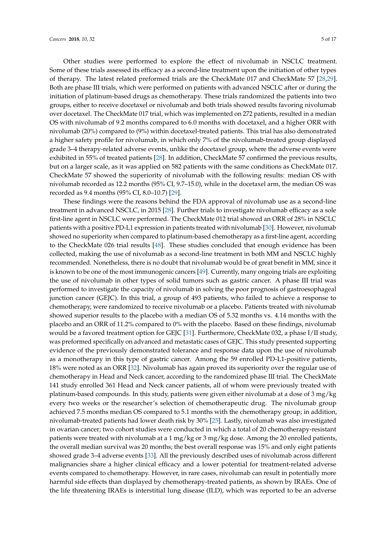Other studies were performed to explore the effect of nivolumab in NSCLC treatment. Some of these trials assessed its efficacy as a second-line treatment upon the initiation of other types of therapy. The latest related preformed trials are the CheckMate 017 and CheckMate 57 [28,29]. Both are phase III trials, which were performed on patients with advanced NSCLC after or during the initiation of platinum-based drugs as chemotherapy. These trials randomized the patients into two groups, either to receive docetaxel or nivolumab and both trials showed results favoring nivolumab over docetaxel. The CheckMate 017 trial, which was implemented on 272 patients, resulted in a median OS with nivolumab of 9.2 months compared to 6.0 months with docetaxel, and a higher ORR with nivolumab (20%) compared to (9%) within docetaxel-treated patients. This trial has also demonstrated a higher safety profile for nivolumab, in which only 7% of the nivolumab-treated group displayed grade 3–4 therapy-related adverse events, unlike the docetaxel group, where the adverse events were exhibited in 55% of treated patients [28]. In addition, CheckMate 57 confirmed the previous results, but on a larger scale, as it was applied on 582 patients with the same conditions as CheckMate 017. CheckMate 57 showed the superiority of nivolumab with the following results: median OS with nivolumab recorded as 12.2 months (95% CI, 9.7–15.0), while in the docetaxel arm, the median OS was recorded as 9.4 months (95% CI, 8.0–10.7) [29].

These findings were the reasons behind the FDA approval of nivolumab use as a second-line treatment in advanced NSCLC, in 2015 [28]. Further trials to investigate nivolumab efficacy as a sole first-line agent in NSCLC were performed. The CheckMate 012 trial showed an ORR of 28% in NSCLC patients with a positive PD-L1 expression in patients treated with nivolumab [30]. However, nivolumab showed no superiority when compared to platinum-based chemotherapy as a first-line agent, according to the CheckMate 026 trial results [48]. These studies concluded that enough evidence has been collected, making the use of nivolumab as a second-line treatment in both MM and NSCLC highly recommended. Nonetheless, there is no doubt that nivolumab would be of great benefit in MM, since it is known to be one of the most immunogenic cancers [49]. Currently, many ongoing trials are exploiting the use of nivolumab in other types of solid tumors such as gastric cancer. A phase III trial was performed to investigate the capacity of nivolumab in solving the poor prognosis of gastroesophageal junction cancer (GEJC). In this trial, a group of 493 patients, who failed to achieve a response to chemotherapy, were randomized to receive nivolumab or a placebo. Patients treated with nivolumab showed superior results to the placebo with a median OS of 5.32 months vs. 4.14 months with the placebo and an ORR of 11.2% compared to 0% with the placebo. Based on these findings, nivolumab would be a favored treatment option for GEJC [31]. Furthermore, CheckMate 032, a phase I/II study, was preformed specifically on advanced and metastatic cases of GEJC. This study presented supporting evidence of the previously demonstrated tolerance and response data upon the use of nivolumab as a monotherapy in this type of gastric cancer. Among the 59 enrolled PD-L1-positive patients, 18% were noted as an ORR [32]. Nivolumab has again proved its superiority over the regular use of chemotherapy in Head and Neck cancer, according to the randomized phase III trial. The CheckMate 141 study enrolled 361 Head and Neck cancer patients, all of whom were previously treated with platinum-based compounds. In this study, patients were given either nivolumab at a dose of 3 mg/kg every two weeks or the researcher's selection of chemotherapeutic drug. The nivolumab group achieved 7.5 months median OS compared to 5.1 months with the chemotherapy group; in addition, nivolumab-treated patients had lower death risk by 30% [25]. Lastly, nivolumab was also investigated in ovarian cancer; two cohort studies were conducted in which a total of 20 chemotherapy-resistant patients were treated with nivolumab at a 1 mg/kg or 3 mg/kg dose. Among the 20 enrolled patients, the overall median survival was 20 months; the best overall response was 15% and only eight patients showed grade 3–4 adverse events [33]. All the previously described uses of nivolumab across different malignancies share a higher clinical efficacy and a lower potential for treatment-related adverse events compared to chemotherapy. However, in rare cases, nivolumab can result in potentially more harmful side effects than displayed by chemotherapy-treated patients, as shown by IRAEs. One of the life threatening IRAEs is interstitial lung disease (ILD), which was reported to be an adverse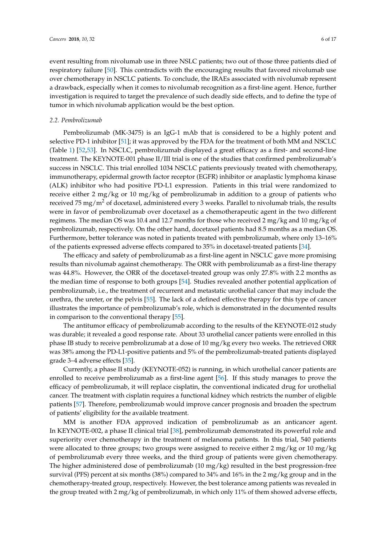event resulting from nivolumab use in three NSLC patients; two out of those three patients died of respiratory failure [50]. This contradicts with the encouraging results that favored nivolumab use over chemotherapy in NSCLC patients. To conclude, the IRAEs associated with nivolumab represent a drawback, especially when it comes to nivolumab recognition as a first-line agent. Hence, further investigation is required to target the prevalence of such deadly side effects, and to define the type of tumor in which nivolumab application would be the best option.

#### *2.2. Pembrolizumab*

Pembrolizumab (MK-3475) is an IgG-1 mAb that is considered to be a highly potent and selective PD-1 inhibitor [51]; it was approved by the FDA for the treatment of both MM and NSCLC (Table 1) [52,53]. In NSCLC, pembrolizumab displayed a great efficacy as a first- and second-line treatment. The KEYNOTE-001 phase II/III trial is one of the studies that confirmed pembrolizumab's success in NSCLC. This trial enrolled 1034 NSCLC patients previously treated with chemotherapy, immunotherapy, epidermal growth factor receptor (EGFR) inhibitor or anaplastic lymphoma kinase (ALK) inhibitor who had positive PD-L1 expression. Patients in this trial were randomized to receive either 2 mg/kg or 10 mg/kg of pembrolizumab in addition to a group of patients who received 75 mg/m<sup>2</sup> of docetaxel, administered every 3 weeks. Parallel to nivolumab trials, the results were in favor of pembrolizumab over docetaxel as a chemotherapeutic agent in the two different regimens. The median OS was 10.4 and 12.7 months for those who received 2 mg/kg and 10 mg/kg of pembrolizumab, respectively. On the other hand, docetaxel patients had 8.5 months as a median OS. Furthermore, better tolerance was noted in patients treated with pembrolizumab, where only 13–16% of the patients expressed adverse effects compared to 35% in docetaxel-treated patients [34].

The efficacy and safety of pembrolizumab as a first-line agent in NSCLC gave more promising results than nivolumab against chemotherapy. The ORR with pembrolizumab as a first-line therapy was 44.8%. However, the ORR of the docetaxel-treated group was only 27.8% with 2.2 months as the median time of response to both groups [54]. Studies revealed another potential application of pembrolizumab, i.e., the treatment of recurrent and metastatic urothelial cancer that may include the urethra, the ureter, or the pelvis [55]. The lack of a defined effective therapy for this type of cancer illustrates the importance of pembrolizumab's role, which is demonstrated in the documented results in comparison to the conventional therapy [55].

The antitumor efficacy of pembrolizumab according to the results of the KEYNOTE-012 study was durable; it revealed a good response rate. About 33 urothelial cancer patients were enrolled in this phase IB study to receive pembrolizumab at a dose of 10 mg/kg every two weeks. The retrieved ORR was 38% among the PD-L1-positive patients and 5% of the pembrolizumab-treated patients displayed grade 3–4 adverse effects [35].

Currently, a phase II study (KEYNOTE-052) is running, in which urothelial cancer patients are enrolled to receive pembrolizumab as a first-line agent [56]. If this study manages to prove the efficacy of pembrolizumab, it will replace cisplatin, the conventional indicated drug for urothelial cancer. The treatment with cisplatin requires a functional kidney which restricts the number of eligible patients [57]. Therefore, pembrolizumab would improve cancer prognosis and broaden the spectrum of patients' eligibility for the available treatment.

MM is another FDA approved indication of pembrolizumab as an anticancer agent. In KEYNOTE-002, a phase II clinical trial [38], pembrolizumab demonstrated its powerful role and superiority over chemotherapy in the treatment of melanoma patients. In this trial, 540 patients were allocated to three groups; two groups were assigned to receive either 2 mg/kg or 10 mg/kg of pembrolizumab every three weeks, and the third group of patients were given chemotherapy. The higher administered dose of pembrolizumab (10 mg/kg) resulted in the best progression-free survival (PFS) percent at six months (38%) compared to 34% and 16% in the 2 mg/kg group and in the chemotherapy-treated group, respectively. However, the best tolerance among patients was revealed in the group treated with 2 mg/kg of pembrolizumab, in which only 11% of them showed adverse effects,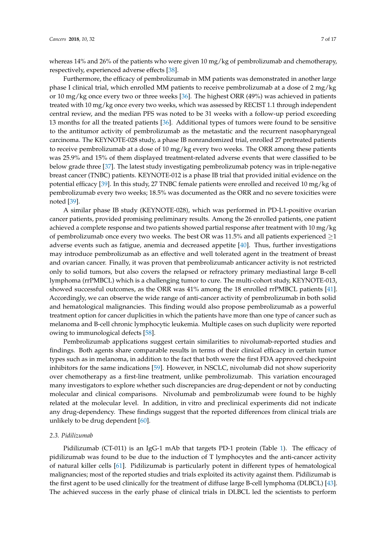whereas 14% and 26% of the patients who were given 10 mg/kg of pembrolizumab and chemotherapy, respectively, experienced adverse effects [38].

Furthermore, the efficacy of pembrolizumab in MM patients was demonstrated in another large phase I clinical trial, which enrolled MM patients to receive pembrolizumab at a dose of 2 mg/kg or 10 mg/kg once every two or three weeks [36]. The highest ORR (49%) was achieved in patients treated with 10 mg/kg once every two weeks, which was assessed by RECIST 1.1 through independent central review, and the median PFS was noted to be 31 weeks with a follow-up period exceeding 13 months for all the treated patients [36]. Additional types of tumors were found to be sensitive to the antitumor activity of pembrolizumab as the metastatic and the recurrent nasopharyngeal carcinoma. The KEYNOTE-028 study, a phase IB nonrandomized trial, enrolled 27 pretreated patients to receive pembrolizumab at a dose of 10 mg/kg every two weeks. The ORR among these patients was 25.9% and 15% of them displayed treatment-related adverse events that were classified to be below grade three [37]. The latest study investigating pembrolizumab potency was in triple-negative breast cancer (TNBC) patients. KEYNOTE-012 is a phase IB trial that provided initial evidence on the potential efficacy [39]. In this study, 27 TNBC female patients were enrolled and received 10 mg/kg of pembrolizumab every two weeks; 18.5% was documented as the ORR and no severe toxicities were noted [39].

A similar phase IB study (KEYNOTE-028), which was performed in PD-L1-positive ovarian cancer patients, provided promising preliminary results. Among the 26 enrolled patients, one patient achieved a complete response and two patients showed partial response after treatment with 10 mg/kg of pembrolizumab once every two weeks. The best OR was 11.5% and all patients experienced  $\geq$ 1 adverse events such as fatigue, anemia and decreased appetite [40]. Thus, further investigations may introduce pembrolizumab as an effective and well tolerated agent in the treatment of breast and ovarian cancer. Finally, it was proven that pembrolizumab anticancer activity is not restricted only to solid tumors, but also covers the relapsed or refractory primary mediastinal large B-cell lymphoma (rrPMBCL) which is a challenging tumor to cure. The multi-cohort study, KEYNOTE-013, showed successful outcomes, as the ORR was 41% among the 18 enrolled rrPMBCL patients [41]. Accordingly, we can observe the wide range of anti-cancer activity of pembrolizumab in both solid and hematological malignancies. This finding would also propose pembrolizumab as a powerful treatment option for cancer duplicities in which the patients have more than one type of cancer such as melanoma and B-cell chronic lymphocytic leukemia. Multiple cases on such duplicity were reported owing to immunological defects [58].

Pembrolizumab applications suggest certain similarities to nivolumab-reported studies and findings. Both agents share comparable results in terms of their clinical efficacy in certain tumor types such as in melanoma, in addition to the fact that both were the first FDA approved checkpoint inhibitors for the same indications [59]. However, in NSCLC, nivolumab did not show superiority over chemotherapy as a first-line treatment, unlike pembrolizumab. This variation encouraged many investigators to explore whether such discrepancies are drug-dependent or not by conducting molecular and clinical comparisons. Nivolumab and pembrolizumab were found to be highly related at the molecular level. In addition, in vitro and preclinical experiments did not indicate any drug-dependency. These findings suggest that the reported differences from clinical trials are unlikely to be drug dependent [60].

#### *2.3. Pidilizumab*

Pidilizumab (CT-011) is an IgG-1 mAb that targets PD-1 protein (Table 1). The efficacy of pidilizumab was found to be due to the induction of T lymphocytes and the anti-cancer activity of natural killer cells [61]. Pidilizumab is particularly potent in different types of hematological malignancies; most of the reported studies and trials exploited its activity against them. Pidilizumab is the first agent to be used clinically for the treatment of diffuse large B-cell lymphoma (DLBCL) [43]. The achieved success in the early phase of clinical trials in DLBCL led the scientists to perform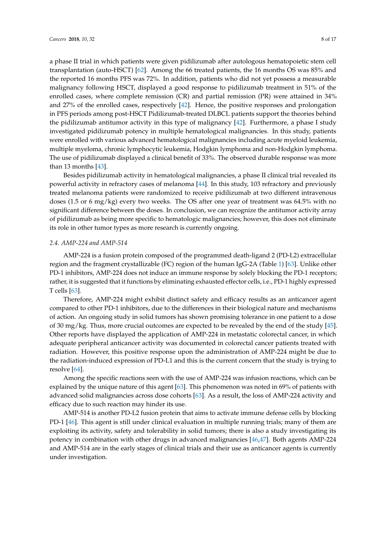a phase II trial in which patients were given pidilizumab after autologous hematopoietic stem cell transplantation (auto-HSCT) [62]. Among the 66 treated patients, the 16 months OS was 85% and the reported 16 months PFS was 72%. In addition, patients who did not yet possess a measurable malignancy following HSCT, displayed a good response to pidilizumab treatment in 51% of the enrolled cases, where complete remission (CR) and partial remission (PR) were attained in 34% and 27% of the enrolled cases, respectively [42]. Hence, the positive responses and prolongation in PFS periods among post-HSCT Pidilizumab-treated DLBCL patients support the theories behind the pidilizumab antitumor activity in this type of malignancy [42]. Furthermore, a phase I study investigated pidilizumab potency in multiple hematological malignancies. In this study, patients were enrolled with various advanced hematological malignancies including acute myeloid leukemia, multiple myeloma, chronic lymphocytic leukemia, Hodgkin lymphoma and non-Hodgkin lymphoma. The use of pidilizumab displayed a clinical benefit of 33%. The observed durable response was more than 13 months [43].

Besides pidilizumab activity in hematological malignancies, a phase II clinical trial revealed its powerful activity in refractory cases of melanoma [44]. In this study, 103 refractory and previously treated melanoma patients were randomized to receive pidilizumab at two different intravenous doses (1.5 or 6 mg/kg) every two weeks. The OS after one year of treatment was 64.5% with no significant difference between the doses. In conclusion, we can recognize the antitumor activity array of pidilizumab as being more specific to hematologic malignancies; however, this does not eliminate its role in other tumor types as more research is currently ongoing.

#### *2.4. AMP-224 and AMP-514*

AMP-224 is a fusion protein composed of the programmed death-ligand 2 (PD-L2) extracellular region and the fragment crystallizable (FC) region of the human IgG-2A (Table 1) [63]. Unlike other PD-1 inhibitors, AMP-224 does not induce an immune response by solely blocking the PD-1 receptors; rather, it is suggested that it functions by eliminating exhausted effector cells, i.e., PD-1 highly expressed T cells [63].

Therefore, AMP-224 might exhibit distinct safety and efficacy results as an anticancer agent compared to other PD-1 inhibitors, due to the differences in their biological nature and mechanisms of action. An ongoing study in solid tumors has shown promising tolerance in one patient to a dose of 30 mg/kg. Thus, more crucial outcomes are expected to be revealed by the end of the study [45]. Other reports have displayed the application of AMP-224 in metastatic colorectal cancer, in which adequate peripheral anticancer activity was documented in colorectal cancer patients treated with radiation. However, this positive response upon the administration of AMP-224 might be due to the radiation-induced expression of PD-L1 and this is the current concern that the study is trying to resolve [64].

Among the specific reactions seen with the use of AMP-224 was infusion reactions, which can be explained by the unique nature of this agent [63]. This phenomenon was noted in 69% of patients with advanced solid malignancies across dose cohorts [63]. As a result, the loss of AMP-224 activity and efficacy due to such reaction may hinder its use.

AMP-514 is another PD-L2 fusion protein that aims to activate immune defense cells by blocking PD-1 [46]. This agent is still under clinical evaluation in multiple running trials; many of them are exploiting its activity, safety and tolerability in solid tumors; there is also a study investigating its potency in combination with other drugs in advanced malignancies [46,47]. Both agents AMP-224 and AMP-514 are in the early stages of clinical trials and their use as anticancer agents is currently under investigation.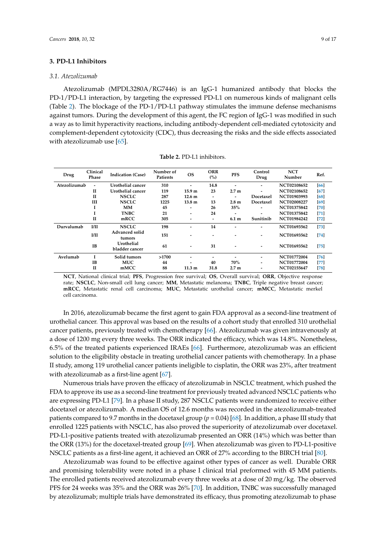## **3. PD-L1 Inhibitors**

#### *3.1. Atezolizumab*

Atezolizumab (MPDL3280A/RG7446) is an IgG-1 humanized antibody that blocks the PD-1/PD-L1 interaction, by targeting the expressed PD-L1 on numerous kinds of malignant cells (Table 2). The blockage of the PD-1/PD-L1 pathway stimulates the immune defense mechanisms against tumors. During the development of this agent, the FC region of IgG-1 was modified in such a way as to limit hyperactivity reactions, including antibody-dependent cell-mediated cytotoxicity and complement-dependent cytotoxicity (CDC), thus decreasing the risks and the side effects associated with atezolizumab use [65].

| Drug                                     | Clinical<br>Phase | <b>Indication (Case)</b>     | Number of<br>Patients | <b>OS</b>                | <b>ORR</b><br>(%)        | <b>PFS</b>               | Control<br>Drug          | <b>NCT</b><br>Number | Ref.   |
|------------------------------------------|-------------------|------------------------------|-----------------------|--------------------------|--------------------------|--------------------------|--------------------------|----------------------|--------|
| Atezolizumab<br>$\overline{\phantom{a}}$ |                   | Urothelial cancer            | 310                   | $\overline{\phantom{0}}$ | 14.8                     | $\overline{\phantom{0}}$ | $\overline{\phantom{0}}$ | NCT02108652          | [66]   |
|                                          | $\mathbf{H}$      | Urothelial cancer            | 119                   | 15.9 <sub>m</sub>        | 23                       | 2.7 <sub>m</sub>         | -                        | NCT02108652          | [67]   |
|                                          | $\mathbf{H}$      | <b>NSCLC</b>                 | 287                   | 12.6 <sub>m</sub>        | $\overline{\phantom{0}}$ | $\overline{\phantom{0}}$ | Docetaxel                | NCT01903993          | [68]   |
|                                          | Ш                 | <b>NSCLC</b>                 | 1225                  | 13.8 <sub>m</sub>        | 13                       | 2.8 <sub>m</sub>         | Docetaxel                | NCT02008227          | [69]   |
|                                          | 1                 | <b>MM</b>                    | 45                    | $\overline{a}$           | 26                       | 35%                      | -                        | <b>NCT01375842</b>   | [70]   |
|                                          | T                 | <b>TNBC</b>                  | 21                    | -                        | 24                       | $\overline{\phantom{a}}$ | $\overline{\phantom{0}}$ | NCT01375842          | $[71]$ |
|                                          | $\mathbf{I}$      | mRCC                         | 305                   |                          | $\overline{\phantom{0}}$ | 6.1 m                    | Sunitinib                | <b>NCT01984242</b>   | $[72]$ |
| Durvalumab                               | I/II              | <b>NSCLC</b>                 | 198                   |                          | 14                       |                          | -                        | NCT01693562          | [73]   |
|                                          | I/II              | Advanced solid<br>tumors     | 151                   |                          |                          |                          | -                        | NCT01693562          | [74]   |
|                                          | <b>IB</b>         | Urothelial<br>bladder cancer | 61                    |                          | 31                       |                          | $\overline{\phantom{0}}$ | NCT01693562          | [75]   |
| Avelumab                                 | L                 | Solid tumors                 | >1700                 | -                        |                          |                          | -                        | <b>NCT01772004</b>   | [76]   |
|                                          | <b>IB</b>         | <b>MUC</b>                   | 44                    |                          | 40                       | 70%                      | -                        | <b>NCT01772004</b>   | $[77]$ |
|                                          | $\mathbf{I}$      | mMCC                         | 88                    | $11.3 \text{ m}$         | 31.8                     | 2.7 <sub>m</sub>         |                          | <b>NCT02155647</b>   | [78]   |

**Table 2.** PD-L1 inhibitors.

**NCT**, National clinical trial; **PFS**, Progression free survival; **OS**, Overall survival; **ORR**, Objective response rate; **NSCLC**, Non-small cell lung cancer; **MM**, Metastatic melanoma; **TNBC**, Triple negative breast cancer; **mRCC**, Metastatic renal cell carcinoma; **MUC**, Metastatic urothelial cancer; **mMCC**, Metastatic merkel cell carcinoma.

In 2016, atezolizumab became the first agent to gain FDA approval as a second-line treatment of urothelial cancer. This approval was based on the results of a cohort study that enrolled 310 urothelial cancer patients, previously treated with chemotherapy [66]. Atezolizumab was given intravenously at a dose of 1200 mg every three weeks. The ORR indicated the efficacy, which was 14.8%. Nonetheless, 6.5% of the treated patients experienced IRAEs [66]. Furthermore, atezolizumab was an efficient solution to the eligibility obstacle in treating urothelial cancer patients with chemotherapy. In a phase II study, among 119 urothelial cancer patients ineligible to cisplatin, the ORR was 23%, after treatment with atezolizumab as a first-line agent [67].

Numerous trials have proven the efficacy of atezolizumab in NSCLC treatment, which pushed the FDA to approve its use as a second-line treatment for previously treated advanced NSCLC patients who are expressing PD-L1 [79]. In a phase II study, 287 NSCLC patients were randomized to receive either docetaxel or atezolizumab. A median OS of 12.6 months was recorded in the atezolizumab-treated patients compared to 9.7 months in the docetaxel group (*p* = 0.04) [68]. In addition, a phase III study that enrolled 1225 patients with NSCLC, has also proved the superiority of atezolizumab over docetaxel. PD-L1-positive patients treated with atezolizumab presented an ORR (14%) which was better than the ORR (13%) for the docetaxel-treated group [69]. When atezolizumab was given to PD-L1-positive NSCLC patients as a first-line agent, it achieved an ORR of 27% according to the BIRCH trial [80].

Atezolizumab was found to be effective against other types of cancer as well. Durable ORR and promising tolerability were noted in a phase I clinical trial preformed with 45 MM patients. The enrolled patients received atezolizumab every three weeks at a dose of 20 mg/kg. The observed PFS for 24 weeks was 35% and the ORR was 26% [70]. In addition, TNBC was successfully managed by atezolizumab; multiple trials have demonstrated its efficacy, thus promoting atezolizumab to phase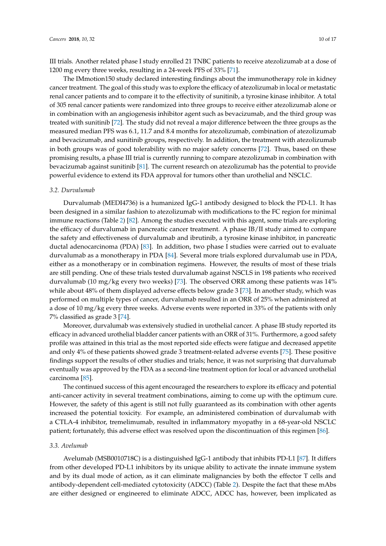III trials. Another related phase I study enrolled 21 TNBC patients to receive atezolizumab at a dose of 1200 mg every three weeks, resulting in a 24-week PFS of 33% [71].

The IMmotion150 study declared interesting findings about the immunotherapy role in kidney cancer treatment. The goal of this study was to explore the efficacy of atezolizumab in local or metastatic renal cancer patients and to compare it to the effectivity of sunitinib, a tyrosine kinase inhibitor. A total of 305 renal cancer patients were randomized into three groups to receive either atezolizumab alone or in combination with an angiogenesis inhibitor agent such as bevacizumab, and the third group was treated with sunitinib [72]. The study did not reveal a major difference between the three groups as the measured median PFS was 6.1, 11.7 and 8.4 months for atezolizumab, combination of atezolizumab and bevacizumab, and sunitinib groups, respectively. In addition, the treatment with atezolizumab in both groups was of good tolerability with no major safety concerns [72]. Thus, based on these promising results, a phase III trial is currently running to compare atezolizumab in combination with bevacizumab against sunitinib [81]. The current research on atezolizumab has the potential to provide powerful evidence to extend its FDA approval for tumors other than urothelial and NSCLC.

#### *3.2. Durvalumab*

Durvalumab (MEDI4736) is a humanized IgG-1 antibody designed to block the PD-L1. It has been designed in a similar fashion to atezolizumab with modifications to the FC region for minimal immune reactions (Table 2) [82]. Among the studies executed with this agent, some trials are exploring the efficacy of durvalumab in pancreatic cancer treatment. A phase IB/II study aimed to compare the safety and effectiveness of durvalumab and ibrutinib, a tyrosine kinase inhibitor, in pancreatic ductal adenocarcinoma (PDA) [83]. In addition, two phase I studies were carried out to evaluate durvalumab as a monotherapy in PDA [84]. Several more trials explored durvalumab use in PDA, either as a monotherapy or in combination regimens. However, the results of most of these trials are still pending. One of these trials tested durvalumab against NSCLS in 198 patients who received durvalumab (10 mg/kg every two weeks) [73]. The observed ORR among these patients was 14% while about 48% of them displayed adverse effects below grade 3 [73]. In another study, which was performed on multiple types of cancer, durvalumab resulted in an ORR of 25% when administered at a dose of 10 mg/kg every three weeks. Adverse events were reported in 33% of the patients with only 7% classified as grade 3 [74].

Moreover, durvalumab was extensively studied in urothelial cancer. A phase IB study reported its efficacy in advanced urothelial bladder cancer patients with an ORR of 31%. Furthermore, a good safety profile was attained in this trial as the most reported side effects were fatigue and decreased appetite and only 4% of these patients showed grade 3 treatment-related adverse events [75]. These positive findings support the results of other studies and trials; hence, it was not surprising that durvalumab eventually was approved by the FDA as a second-line treatment option for local or advanced urothelial carcinoma [85].

The continued success of this agent encouraged the researchers to explore its efficacy and potential anti-cancer activity in several treatment combinations, aiming to come up with the optimum cure. However, the safety of this agent is still not fully guaranteed as its combination with other agents increased the potential toxicity. For example, an administered combination of durvalumab with a CTLA-4 inhibitor, tremelimumab, resulted in inflammatory myopathy in a 68-year-old NSCLC patient; fortunately, this adverse effect was resolved upon the discontinuation of this regimen [86].

#### *3.3. Avelumab*

Avelumab (MSB0010718C) is a distinguished IgG-1 antibody that inhibits PD-L1 [87]. It differs from other developed PD-L1 inhibitors by its unique ability to activate the innate immune system and by its dual mode of action, as it can eliminate malignancies by both the effector T cells and antibody-dependent cell-mediated cytotoxicity (ADCC) (Table 2). Despite the fact that these mAbs are either designed or engineered to eliminate ADCC, ADCC has, however, been implicated as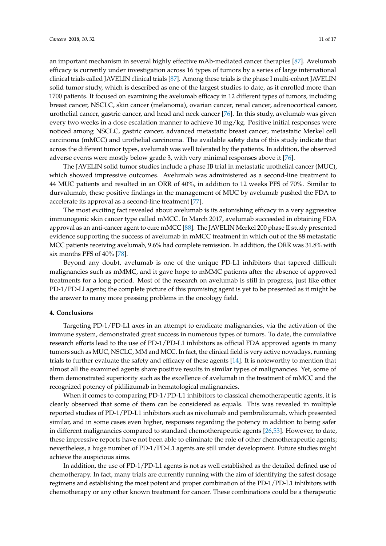an important mechanism in several highly effective mAb-mediated cancer therapies [87]. Avelumab efficacy is currently under investigation across 16 types of tumors by a series of large international clinical trials called JAVELIN clinical trials [87]. Among these trials is the phase I multi-cohort JAVELIN solid tumor study, which is described as one of the largest studies to date, as it enrolled more than 1700 patients. It focused on examining the avelumab efficacy in 12 different types of tumors, including breast cancer, NSCLC, skin cancer (melanoma), ovarian cancer, renal cancer, adrenocortical cancer, urothelial cancer, gastric cancer, and head and neck cancer [76]. In this study, avelumab was given every two weeks in a dose escalation manner to achieve 10 mg/kg. Positive initial responses were noticed among NSCLC, gastric cancer, advanced metastatic breast cancer, metastatic Merkel cell carcinoma (mMCC) and urothelial carcinoma. The available safety data of this study indicate that across the different tumor types, avelumab was well tolerated by the patients. In addition, the observed adverse events were mostly below grade 3, with very minimal responses above it [76].

The JAVELIN solid tumor studies include a phase IB trial in metastatic urothelial cancer (MUC), which showed impressive outcomes. Avelumab was administered as a second-line treatment to 44 MUC patients and resulted in an ORR of 40%, in addition to 12 weeks PFS of 70%. Similar to durvalumab, these positive findings in the management of MUC by avelumab pushed the FDA to accelerate its approval as a second-line treatment [77].

The most exciting fact revealed about avelumab is its astonishing efficacy in a very aggressive immunogenic skin cancer type called mMCC. In March 2017, avelumab succeeded in obtaining FDA approval as an anti-cancer agent to cure mMCC [88]. The JAVELIN Merkel 200 phase II study presented evidence supporting the success of avelumab in mMCC treatment in which out of the 88 metastatic MCC patients receiving avelumab, 9.6% had complete remission. In addition, the ORR was 31.8% with six months PFS of 40% [78].

Beyond any doubt, avelumab is one of the unique PD-L1 inhibitors that tapered difficult malignancies such as mMMC, and it gave hope to mMMC patients after the absence of approved treatments for a long period. Most of the research on avelumab is still in progress, just like other PD-1/PD-Ll agents; the complete picture of this promising agent is yet to be presented as it might be the answer to many more pressing problems in the oncology field.

## **4. Conclusions**

Targeting PD-1/PD-L1 axes in an attempt to eradicate malignancies, via the activation of the immune system, demonstrated great success in numerous types of tumors. To date, the cumulative research efforts lead to the use of PD-1/PD-L1 inhibitors as official FDA approved agents in many tumors such as MUC, NSCLC, MM and MCC. In fact, the clinical field is very active nowadays, running trials to further evaluate the safety and efficacy of these agents [14]. It is noteworthy to mention that almost all the examined agents share positive results in similar types of malignancies. Yet, some of them demonstrated superiority such as the excellence of avelumab in the treatment of mMCC and the recognized potency of pidilizumab in hematological malignancies.

When it comes to comparing PD-1/PD-L1 inhibitors to classical chemotherapeutic agents, it is clearly observed that some of them can be considered as equals. This was revealed in multiple reported studies of PD-1/PD-L1 inhibitors such as nivolumab and pembrolizumab, which presented similar, and in some cases even higher, responses regarding the potency in addition to being safer in different malignancies compared to standard chemotherapeutic agents [26,53]. However, to date, these impressive reports have not been able to eliminate the role of other chemotherapeutic agents; nevertheless, a huge number of PD-1/PD-L1 agents are still under development. Future studies might achieve the auspicious aims.

In addition, the use of PD-1/PD-L1 agents is not as well established as the detailed defined use of chemotherapy. In fact, many trials are currently running with the aim of identifying the safest dosage regimens and establishing the most potent and proper combination of the PD-1/PD-L1 inhibitors with chemotherapy or any other known treatment for cancer. These combinations could be a therapeutic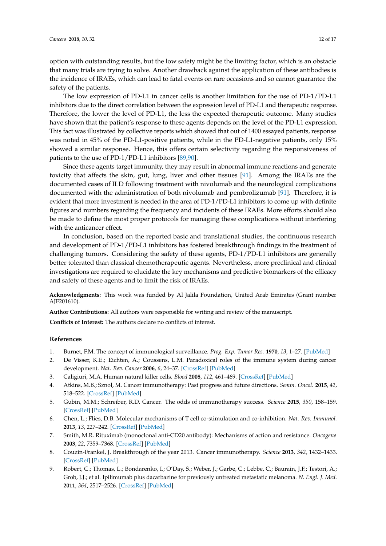option with outstanding results, but the low safety might be the limiting factor, which is an obstacle that many trials are trying to solve. Another drawback against the application of these antibodies is the incidence of IRAEs, which can lead to fatal events on rare occasions and so cannot guarantee the safety of the patients.

The low expression of PD-L1 in cancer cells is another limitation for the use of PD-1/PD-L1 inhibitors due to the direct correlation between the expression level of PD-L1 and therapeutic response. Therefore, the lower the level of PD-L1, the less the expected therapeutic outcome. Many studies have shown that the patient's response to these agents depends on the level of the PD-L1 expression. This fact was illustrated by collective reports which showed that out of 1400 essayed patients, response was noted in 45% of the PD-L1-positive patients, while in the PD-L1-negative patients, only 15% showed a similar response. Hence, this offers certain selectivity regarding the responsiveness of patients to the use of PD-1/PD-L1 inhibitors [89,90].

Since these agents target immunity, they may result in abnormal immune reactions and generate toxicity that affects the skin, gut, lung, liver and other tissues [91]. Among the IRAEs are the documented cases of ILD following treatment with nivolumab and the neurological complications documented with the administration of both nivolumab and pembrolizumab [91]. Therefore, it is evident that more investment is needed in the area of PD-1/PD-L1 inhibitors to come up with definite figures and numbers regarding the frequency and incidents of these IRAEs. More efforts should also be made to define the most proper protocols for managing these complications without interfering with the anticancer effect.

In conclusion, based on the reported basic and translational studies, the continuous research and development of PD-1/PD-L1 inhibitors has fostered breakthrough findings in the treatment of challenging tumors. Considering the safety of these agents, PD-1/PD-L1 inhibitors are generally better tolerated than classical chemotherapeutic agents. Nevertheless, more preclinical and clinical investigations are required to elucidate the key mechanisms and predictive biomarkers of the efficacy and safety of these agents and to limit the risk of IRAEs.

**Acknowledgments:** This work was funded by Al Jalila Foundation, United Arab Emirates (Grant number AJF201610).

**Author Contributions:** All authors were responsible for writing and review of the manuscript.

**Conflicts of Interest:** The authors declare no conflicts of interest.

## **References**

- 1. Burnet, F.M. The concept of immunological surveillance. *Prog. Exp. Tumor Res.* **1970**, *13*, 1–27. [PubMed]
- 2. De Visser, K.E.; Eichten, A.; Coussens, L.M. Paradoxical roles of the immune system during cancer development. *Nat. Rev. Cancer* **2006**, *6*, 24–37. [CrossRef] [PubMed]
- 3. Caligiuri, M.A. Human natural killer cells. *Blood* **2008**, *112*, 461–469. [CrossRef] [PubMed]
- 4. Atkins, M.B.; Sznol, M. Cancer immunotherapy: Past progress and future directions. *Semin. Oncol.* **2015**, *42*, 518–522. [CrossRef] [PubMed]
- 5. Gubin, M.M.; Schreiber, R.D. Cancer. The odds of immunotherapy success. *Science* **2015**, *350*, 158–159. [CrossRef] [PubMed]
- 6. Chen, L.; Flies, D.B. Molecular mechanisms of T cell co-stimulation and co-inhibition. *Nat. Rev. Immunol.* **2013**, *13*, 227–242. [CrossRef] [PubMed]
- 7. Smith, M.R. Rituximab (monoclonal anti-CD20 antibody): Mechanisms of action and resistance. *Oncogene* **2003**, *22*, 7359–7368. [CrossRef] [PubMed]
- 8. Couzin-Frankel, J. Breakthrough of the year 2013. Cancer immunotherapy. *Science* **2013**, *342*, 1432–1433. [CrossRef] [PubMed]
- 9. Robert, C.; Thomas, L.; Bondarenko, I.; O'Day, S.; Weber, J.; Garbe, C.; Lebbe, C.; Baurain, J.F.; Testori, A.; Grob, J.J.; et al. Ipilimumab plus dacarbazine for previously untreated metastatic melanoma. *N. Engl. J. Med.* **2011**, *364*, 2517–2526. [CrossRef] [PubMed]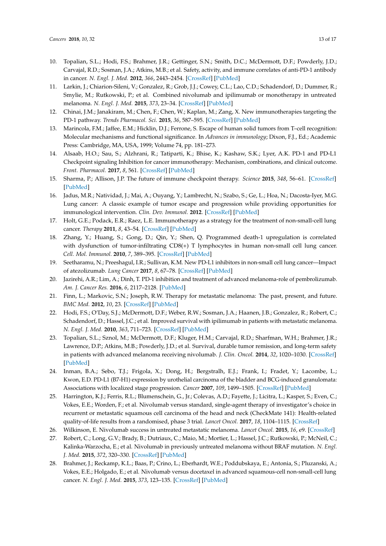- 10. Topalian, S.L.; Hodi, F.S.; Brahmer, J.R.; Gettinger, S.N.; Smith, D.C.; McDermott, D.F.; Powderly, J.D.; Carvajal, R.D.; Sosman, J.A.; Atkins, M.B.; et al. Safety, activity, and immune correlates of anti-PD-1 antibody in cancer. *N. Engl. J. Med.* **2012**, *366*, 2443–2454. [CrossRef] [PubMed]
- 11. Larkin, J.; Chiarion-Sileni, V.; Gonzalez, R.; Grob, J.J.; Cowey, C.L.; Lao, C.D.; Schadendorf, D.; Dummer, R.; Smylie, M.; Rutkowski, P.; et al. Combined nivolumab and ipilimumab or monotherapy in untreated melanoma. *N. Engl. J. Med.* **2015**, *373*, 23–34. [CrossRef] [PubMed]
- 12. Chinai, J.M.; Janakiram, M.; Chen, F.; Chen, W.; Kaplan, M.; Zang, X. New immunotherapies targeting the PD-1 pathway. *Trends Pharmacol. Sci.* **2015**, *36*, 587–595. [CrossRef] [PubMed]
- 13. Marincola, F.M.; Jaffee, E.M.; Hicklin, D.J.; Ferrone, S. Escape of human solid tumors from T–cell recognition: Molecular mechanisms and functional significance. In *Advances in immunology*; Dixon, F.J., Ed.; Academic Press: Cambridge, MA, USA, 1999; Volume 74, pp. 181–273.
- 14. Alsaab, H.O.; Sau, S.; Alzhrani, R.; Tatiparti, K.; Bhise, K.; Kashaw, S.K.; Lyer, A.K. PD-1 and PD-L1 Checkpoint signaling Inhibition for cancer immunotherapy: Mechanism, combinations, and clinical outcome. *Front. Pharmacol.* **2017**, *8*, 561. [CrossRef] [PubMed]
- 15. Sharma, P.; Allison, J.P. The future of immune checkpoint therapy. *Science* **2015**, *348*, 56–61. [CrossRef] [PubMed]
- 16. Jadus, M.R.; Natividad, J.; Mai, A.; Ouyang, Y.; Lambrecht, N.; Szabo, S.; Ge, L.; Hoa, N.; Dacosta-Iyer, M.G. Lung cancer: A classic example of tumor escape and progression while providing opportunities for immunological intervention. *Clin. Dev. Immunol.* **2012**. [CrossRef] [PubMed]
- 17. Holt, G.E.; Podack, E.R.; Raez, L.E. Immunotherapy as a strategy for the treatment of non-small-cell lung cancer. *Therapy* **2011**, *8*, 43–54. [CrossRef] [PubMed]
- 18. Zhang, Y.; Huang, S.; Gong, D.; Qin, Y.; Shen, Q. Programmed death-1 upregulation is correlated with dysfunction of tumor-infiltrating CD8(+) T lymphocytes in human non-small cell lung cancer. *Cell. Mol. Immunol.* **2010**, *7*, 389–395. [CrossRef] [PubMed]
- 19. Seetharamu, N.; Preeshagul, I.R.; Sullivan, K.M. New PD-L1 inhibitors in non-small cell lung cancer—Impact of atezolizumab. *Lung Cancer* **2017**, *8*, 67–78. [CrossRef] [PubMed]
- 20. Jazirehi, A.R.; Lim, A.; Dinh, T. PD-1 inhibition and treatment of advanced melanoma-role of pembrolizumab. *Am. J. Cancer Res.* **2016**, *6*, 2117–2128. [PubMed]
- 21. Finn, L.; Markovic, S.N.; Joseph, R.W. Therapy for metastatic melanoma: The past, present, and future. *BMC Med.* **2012**, *10*, 23. [CrossRef] [PubMed]
- 22. Hodi, F.S.; O'Day, S.J.; McDermott, D.F.; Weber, R.W.; Sosman, J.A.; Haanen, J.B.; Gonzalez, R.; Robert, C.; Schadendorf, D.; Hassel, J.C.; et al. Improved survival with ipilimumab in patients with metastatic melanoma. *N. Engl. J. Med.* **2010**, *363*, 711–723. [CrossRef] [PubMed]
- 23. Topalian, S.L.; Sznol, M.; McDermott, D.F.; Kluger, H.M.; Carvajal, R.D.; Sharfman, W.H.; Brahmer, J.R.; Lawrence, D.P.; Atkins, M.B.; Powderly, J.D.; et al. Survival, durable tumor remission, and long-term safety in patients with advanced melanoma receiving nivolumab. *J. Clin. Oncol.* **2014**, *32*, 1020–1030. [CrossRef] [PubMed]
- 24. Inman, B.A.; Sebo, T.J.; Frigola, X.; Dong, H.; Bergstralh, E.J.; Frank, I.; Fradet, Y.; Lacombe, L.; Kwon, E.D. PD-L1 (B7-H1) expression by urothelial carcinoma of the bladder and BCG-induced granulomata: Associations with localized stage progression. *Cancer* **2007**, *109*, 1499–1505. [CrossRef] [PubMed]
- 25. Harrington, K.J.; Ferris, R.L.; Blumenschein, G., Jr.; Colevas, A.D.; Fayette, J.; Licitra, L.; Kasper, S.; Even, C.; Vokes, E.E.; Worden, F.; et al. Nivolumab versus standard, single-agent therapy of investigator's choice in recurrent or metastatic squamous cell carcinoma of the head and neck (CheckMate 141): Health-related quality-of-life results from a randomised, phase 3 trial. *Lancet Oncol.* **2017**, *18*, 1104–1115. [CrossRef]
- 26. Wilkinson, E. Nivolumab success in untreated metastatic melanoma. *Lancet Oncol.* **2015**, *16*, e9. [CrossRef]
- 27. Robert, C.; Long, G.V.; Brady, B.; Dutriaux, C.; Maio, M.; Mortier, L.; Hassel, J.C.; Rutkowski, P.; McNeil, C.; Kalinka-Warzocha, E.; et al. Nivolumab in previously untreated melanoma without BRAF mutation. *N. Engl. J. Med.* **2015**, *372*, 320–330. [CrossRef] [PubMed]
- 28. Brahmer, J.; Reckamp, K.L.; Baas, P.; Crino, L.; Eberhardt, W.E.; Poddubskaya, E.; Antonia, S.; Pluzanski, A.; Vokes, E.E.; Holgado, E.; et al. Nivolumab versus docetaxel in advanced squamous-cell non-small-cell lung cancer. *N. Engl. J. Med.* **2015**, *373*, 123–135. [CrossRef] [PubMed]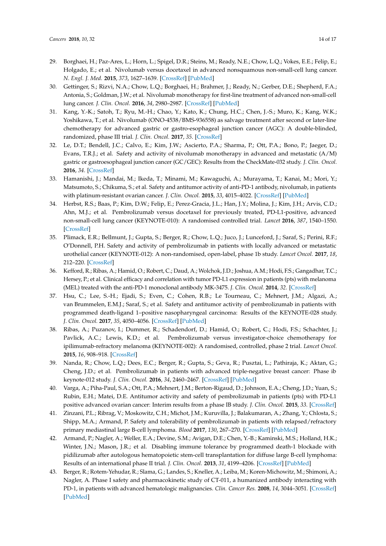- 29. Borghaei, H.; Paz-Ares, L.; Horn, L.; Spigel, D.R.; Steins, M.; Ready, N.E.; Chow, L.Q.; Vokes, E.E.; Felip, E.; Holgado, E.; et al. Nivolumab versus docetaxel in advanced nonsquamous non-small-cell lung cancer. *N. Engl. J. Med.* **2015**, *373*, 1627–1639. [CrossRef] [PubMed]
- 30. Gettinger, S.; Rizvi, N.A.; Chow, L.Q.; Borghaei, H.; Brahmer, J.; Ready, N.; Gerber, D.E.; Shepherd, F.A.; Antonia, S.; Goldman, J.W.; et al. Nivolumab monotherapy for first-line treatment of advanced non-small-cell lung cancer. *J. Clin. Oncol.* **2016**, *34*, 2980–2987. [CrossRef] [PubMed]
- 31. Kang, Y.-K.; Satoh, T.; Ryu, M.-H.; Chao, Y.; Kato, K.; Chung, H.C.; Chen, J.-S.; Muro, K.; Kang, W.K.; Yoshikawa, T.; et al. Nivolumab (ONO-4538/BMS-936558) as salvage treatment after second or later-line chemotherapy for advanced gastric or gastro-esophageal junction cancer (AGC): A double-blinded, randomized, phase III trial. *J. Clin. Oncol.* **2017**, *35*. [CrossRef]
- 32. Le, D.T.; Bendell, J.C.; Calvo, E.; Kim, J.W.; Ascierto, P.A.; Sharma, P.; Ott, P.A.; Bono, P.; Jaeger, D.; Evans, T.R.J.; et al. Safety and activity of nivolumab monotherapy in advanced and metastatic (A/M) gastric or gastroesophageal junction cancer (GC/GEC): Results from the CheckMate-032 study. *J. Clin. Oncol.* **2016**, *34*. [CrossRef]
- 33. Hamanishi, J.; Mandai, M.; Ikeda, T.; Minami, M.; Kawaguchi, A.; Murayama, T.; Kanai, M.; Mori, Y.; Matsumoto, S.; Chikuma, S.; et al. Safety and antitumor activity of anti-PD-1 antibody, nivolumab, in patients with platinum-resistant ovarian cancer. *J. Clin. Oncol.* **2015**, *33*, 4015–4022. [CrossRef] [PubMed]
- 34. Herbst, R.S.; Baas, P.; Kim, D.W.; Felip, E.; Perez-Gracia, J.L.; Han, J.Y.; Molina, J.; Kim, J.H.; Arvis, C.D.; Ahn, M.J.; et al. Pembrolizumab versus docetaxel for previously treated, PD-L1-positive, advanced non-small-cell lung cancer (KEYNOTE-010): A randomised controlled trial. *Lancet* **2016**, *387*, 1540–1550. [CrossRef]
- 35. Plimack, E.R.; Bellmunt, J.; Gupta, S.; Berger, R.; Chow, L.Q.; Juco, J.; Lunceford, J.; Saraf, S.; Perini, R.F.; O'Donnell, P.H. Safety and activity of pembrolizumab in patients with locally advanced or metastatic urothelial cancer (KEYNOTE-012): A non-randomised, open-label, phase 1b study. *Lancet Oncol.* **2017**, *18*, 212–220. [CrossRef]
- 36. Kefford, R.; Ribas, A.; Hamid, O.; Robert, C.; Daud, A.; Wolchok, J.D.; Joshua, A.M.; Hodi, F.S.; Gangadhar, T.C.; Hersey, P.; et al. Clinical efficacy and correlation with tumor PD-L1 expression in patients (pts) with melanoma (MEL) treated with the anti-PD-1 monoclonal antibody MK-3475. *J. Clin. Oncol.* **2014**, *32*. [CrossRef]
- 37. Hsu, C.; Lee, S.-H.; Ejadi, S.; Even, C.; Cohen, R.B.; Le Tourneau, C.; Mehnert, J.M.; Algazi, A.; van Brummelen, E.M.J.; Saraf, S.; et al. Safety and antitumor activity of pembrolizumab in patients with programmed death-ligand 1–positive nasopharyngeal carcinoma: Results of the KEYNOTE-028 study. *J. Clin. Oncol.* **2017**, *35*, 4050–4056. [CrossRef] [PubMed]
- 38. Ribas, A.; Puzanov, I.; Dummer, R.; Schadendorf, D.; Hamid, O.; Robert, C.; Hodi, F.S.; Schachter, J.; Pavlick, A.C.; Lewis, K.D.; et al. Pembrolizumab versus investigator-choice chemotherapy for ipilimumab-refractory melanoma (KEYNOTE-002): A randomised, controlled, phase 2 trial. *Lancet Oncol.* **2015**, *16*, 908–918. [CrossRef]
- 39. Nanda, R.; Chow, L.Q.; Dees, E.C.; Berger, R.; Gupta, S.; Geva, R.; Pusztai, L.; Pathiraja, K.; Aktan, G.; Cheng, J.D.; et al. Pembrolizumab in patients with advanced triple-negative breast cancer: Phase ib keynote-012 study. *J. Clin. Oncol.* **2016**, *34*, 2460–2467. [CrossRef] [PubMed]
- 40. Varga, A.; Piha-Paul, S.A.; Ott, P.A.; Mehnert, J.M.; Berton-Rigaud, D.; Johnson, E.A.; Cheng, J.D.; Yuan, S.; Rubin, E.H.; Matei, D.E. Antitumor activity and safety of pembrolizumab in patients (pts) with PD-L1 positive advanced ovarian cancer: Interim results from a phase IB study. *J. Clin. Oncol.* **2015**, *33*. [CrossRef]
- 41. Zinzani, P.L.; Ribrag, V.; Moskowitz, C.H.; Michot, J.M.; Kuruvilla, J.; Balakumaran, A.; Zhang, Y.; Chlosta, S.; Shipp, M.A.; Armand, P. Safety and tolerability of pembrolizumab in patients with relapsed/refractory primary mediastinal large B-cell lymphoma. *Blood* **2017**, *130*, 267–270. [CrossRef] [PubMed]
- 42. Armand, P.; Nagler, A.; Weller, E.A.; Devine, S.M.; Avigan, D.E.; Chen, Y.-B.; Kaminski, M.S.; Holland, H.K.; Winter, J.N.; Mason, J.R.; et al. Disabling immune tolerance by programmed death-1 blockade with pidilizumab after autologous hematopoietic stem-cell transplantation for diffuse large B-cell lymphoma: Results of an international phase II trial. *J. Clin. Oncol.* **2013**, *31*, 4199–4206. [CrossRef] [PubMed]
- 43. Berger, R.; Rotem-Yehudar, R.; Slama, G.; Landes, S.; Kneller, A.; Leiba, M.; Koren-Michowitz, M.; Shimoni, A.; Nagler, A. Phase I safety and pharmacokinetic study of CT-011, a humanized antibody interacting with PD-1, in patients with advanced hematologic malignancies. *Clin. Cancer Res.* **2008**, *14*, 3044–3051. [CrossRef] [PubMed]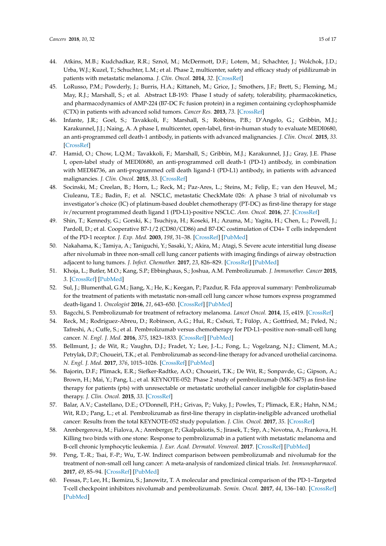- 44. Atkins, M.B.; Kudchadkar, R.R.; Sznol, M.; McDermott, D.F.; Lotem, M.; Schachter, J.; Wolchok, J.D.; Urba, W.J.; Kuzel, T.; Schuchter, L.M.; et al. Phase 2, multicenter, safety and efficacy study of pidilizumab in patients with metastatic melanoma. *J. Clin. Oncol.* **2014**, *32*. [CrossRef]
- 45. LoRusso, P.M.; Powderly, J.; Burris, H.A.; Kittaneh, M.; Grice, J.; Smothers, J.F.; Brett, S.; Fleming, M.; May, R.J.; Marshall, S.; et al. Abstract LB-193: Phase I study of safety, tolerability, pharmacokinetics, and pharmacodynamics of AMP-224 (B7-DC Fc fusion protein) in a regimen containing cyclophosphamide (CTX) in patients with advanced solid tumors. *Cancer Res.* **2013**, *73*. [CrossRef]
- 46. Infante, J.R.; Goel, S.; Tavakkoli, F.; Marshall, S.; Robbins, P.B.; D'Angelo, G.; Gribbin, M.J.; Karakunnel, J.J.; Naing, A. A phase I, multicenter, open-label, first-in-human study to evaluate MEDI0680, an anti-programmed cell death-1 antibody, in patients with advanced malignancies. *J. Clin. Oncol.* **2015**, *33*. [CrossRef]
- 47. Hamid, O.; Chow, L.Q.M.; Tavakkoli, F.; Marshall, S.; Gribbin, M.J.; Karakunnel, J.J.; Gray, J.E. Phase I, open-label study of MEDI0680, an anti-programmed cell death-1 (PD-1) antibody, in combination with MEDI4736, an anti-programmed cell death ligand-1 (PD-L1) antibody, in patients with advanced malignancies. *J. Clin. Oncol.* **2015**, *33*. [CrossRef]
- 48. Socinski, M.; Creelan, B.; Horn, L.; Reck, M.; Paz-Ares, L.; Steins, M.; Felip, E.; van den Heuvel, M.; Ciuleanu, T.E.; Badin, F.; et al. NSCLC, metastatic CheckMate 026: A phase 3 trial of nivolumab vs investigator's choice (IC) of platinum-based doublet chemotherapy (PT-DC) as first-line therapy for stage iv/recurrent programmed death ligand 1 (PD-L1)-positive NSCLC. *Ann. Oncol.* **2016**, *27*. [CrossRef]
- 49. Shin, T.; Kennedy, G.; Gorski, K.; Tsuchiya, H.; Koseki, H.; Azuma, M.; Yagita, H.; Chen, L.; Powell, J.; Pardoll, D.; et al. Cooperative B7-1/2 (CD80/CD86) and B7-DC costimulation of CD4+ T cells independent of the PD-1 receptor. *J. Exp. Med.* **2003**, *198*, 31–38. [CrossRef] [PubMed]
- 50. Nakahama, K.; Tamiya, A.; Taniguchi, Y.; Sasaki, Y.; Akira, M.; Atagi, S. Severe acute interstitial lung disease after nivolumab in three non-small cell lung cancer patients with imaging findings of airway obstruction adjacent to lung tumors. *J. Infect. Chemother.* **2017**, *23*, 826–829. [CrossRef] [PubMed]
- 51. Khoja, L.; Butler, M.O.; Kang, S.P.; Ebbinghaus, S.; Joshua, A.M. Pembrolizumab. *J. Immunother. Cancer* **2015**, *3*. [CrossRef] [PubMed]
- 52. Sul, J.; Blumenthal, G.M.; Jiang, X.; He, K.; Keegan, P.; Pazdur, R. Fda approval summary: Pembrolizumab for the treatment of patients with metastatic non-small cell lung cancer whose tumors express programmed death-ligand 1. *Oncologist* **2016**, *21*, 643–650. [CrossRef] [PubMed]
- 53. Bagcchi, S. Pembrolizumab for treatment of refractory melanoma. *Lancet Oncol.* **2014**, *15*, e419. [CrossRef]
- 54. Reck, M.; Rodríguez-Abreu, D.; Robinson, A.G.; Hui, R.; Csőszi, T.; Fülöp, A.; Gottfried, M.; Peled, N.; Tafreshi, A.; Cuffe, S.; et al. Pembrolizumab versus chemotherapy for PD-L1–positive non–small-cell lung cancer. *N. Engl. J. Med.* **2016**, *375*, 1823–1833. [CrossRef] [PubMed]
- 55. Bellmunt, J.; de Wit, R.; Vaughn, D.J.; Fradet, Y.; Lee, J.-L.; Fong, L.; Vogelzang, N.J.; Climent, M.A.; Petrylak, D.P.; Choueiri, T.K.; et al. Pembrolizumab as second-line therapy for advanced urothelial carcinoma. *N. Engl. J. Med.* **2017**, *376*, 1015–1026. [CrossRef] [PubMed]
- 56. Bajorin, D.F.; Plimack, E.R.; Siefker-Radtke, A.O.; Choueiri, T.K.; De Wit, R.; Sonpavde, G.; Gipson, A.; Brown, H.; Mai, Y.; Pang, L.; et al. KEYNOTE-052: Phase 2 study of pembrolizumab (MK-3475) as first-line therapy for patients (pts) with unresectable or metastatic urothelial cancer ineligible for cisplatin-based therapy. *J. Clin. Oncol.* **2015**, *33*. [CrossRef]
- 57. Balar, A.V.; Castellano, D.E.; O'Donnell, P.H.; Grivas, P.; Vuky, J.; Powles, T.; Plimack, E.R.; Hahn, N.M.; Wit, R.D.; Pang, L.; et al. Pembrolizumab as first-line therapy in cisplatin-ineligible advanced urothelial cancer: Results from the total KEYNOTE-052 study population. *J. Clin. Oncol.* **2017**, *35*. [CrossRef]
- 58. Arenbergerova, M.; Fialova, A.; Arenberger, P.; Gkalpakiotis, S.; Jirasek, T.; Srp, A.; Novotna, A.; Frankova, H. Killing two birds with one stone: Response to pembrolizumab in a patient with metastatic melanoma and B-cell chronic lymphocytic leukemia. *J. Eur. Acad. Dermatol. Venereol.* **2017**. [CrossRef] [PubMed]
- 59. Peng, T.-R.; Tsai, F.-P.; Wu, T.-W. Indirect comparison between pembrolizumab and nivolumab for the treatment of non-small cell lung cancer: A meta-analysis of randomized clinical trials. *Int. Immunopharmacol.* **2017**, *49*, 85–94. [CrossRef] [PubMed]
- 60. Fessas, P.; Lee, H.; Ikemizu, S.; Janowitz, T. A molecular and preclinical comparison of the PD-1–Targeted T-cell checkpoint inhibitors nivolumab and pembrolizumab. *Semin. Oncol.* **2017**, *44*, 136–140. [CrossRef] [PubMed]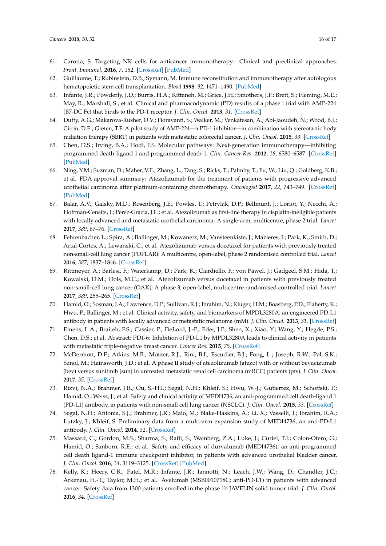- 61. Carotta, S. Targeting NK cells for anticancer immunotherapy: Clinical and preclinical approaches. *Front. Immunol.* **2016**, *7*, 152. [CrossRef] [PubMed]
- 62. Guillaume, T.; Rubinstein, D.B.; Symann, M. Immune reconstitution and immunotherapy after autologous hematopoietic stem cell transplantation. *Blood* **1998**, *92*, 1471–1490. [PubMed]
- 63. Infante, J.R.; Powderly, J.D.; Burris, H.A.; Kittaneh, M.; Grice, J.H.; Smothers, J.F.; Brett, S.; Fleming, M.E.; May, R.; Marshall, S.; et al. Clinical and pharmacodynamic (PD) results of a phase i trial with AMP-224 (B7-DC Fc) that binds to the PD-1 receptor. *J. Clin. Oncol.* **2013**, *31*. [CrossRef]
- 64. Duffy, A.G.; Makarova-Rusher, O.V.; Fioravanti, S.; Walker, M.; Venkatesan, A.; Abi-Jaoudeh, N.; Wood, B.J.; Citrin, D.E.; Greten, T.F. A pilot study of AMP-224—a PD-1 inhibitor—in combination with stereotactic body radiation therapy (SBRT) in patients with metastatic colorectal cancer. *J. Clin. Oncol.* **2015**, *33*. [CrossRef]
- 65. Chen, D.S.; Irving, B.A.; Hodi, F.S. Molecular pathways: Next-generation immunotherapy—inhibiting programmed death-ligand 1 and programmed death-1. *Clin. Cancer Res.* **2012**, *18*, 6580–6587. [CrossRef] [PubMed]
- 66. Ning, Y.M.; Suzman, D.; Maher, V.E.; Zhang, L.; Tang, S.; Ricks, T.; Palmby, T.; Fu, W.; Liu, Q.; Goldberg, K.B.; et al. FDA approval summary: Atezolizumab for the treatment of patients with progressive advanced urothelial carcinoma after platinum-containing chemotherapy. *Oncologist* **2017**, *22*, 743–749. [CrossRef] [PubMed]
- 67. Balar, A.V.; Galsky, M.D.; Rosenberg, J.E.; Powles, T.; Petrylak, D.P.; Bellmunt, J.; Loriot, Y.; Necchi, A.; Hoffman-Censits, J.; Perez-Gracia, J.L.; et al. Atezolizumab as first-line therapy in cisplatin-ineligible patients with locally advanced and metastatic urothelial carcinoma: A single-arm, multicentre, phase 2 trial. *Lancet* **2017**, *389*, 67–76. [CrossRef]
- 68. Fehrenbacher, L.; Spira, A.; Ballinger, M.; Kowanetz, M.; Vansteenkiste, J.; Mazieres, J.; Park, K.; Smith, D.; Artal-Cortes, A.; Lewanski, C.; et al. Atezolizumab versus docetaxel for patients with previously treated non-small-cell lung cancer (POPLAR): A multicentre, open-label, phase 2 randomised controlled trial. *Lancet* **2016**, *387*, 1837–1846. [CrossRef]
- 69. Rittmeyer, A.; Barlesi, F.; Waterkamp, D.; Park, K.; Ciardiello, F.; von Pawel, J.; Gadgeel, S.M.; Hida, T.; Kowalski, D.M.; Dols, M.C.; et al. Atezolizumab versus docetaxel in patients with previously treated non-small-cell lung cancer (OAK): A phase 3, open-label, multicentre randomised controlled trial. *Lancet* **2017**, *389*, 255–265. [CrossRef]
- 70. Hamid, O.; Sosman, J.A.; Lawrence, D.P.; Sullivan, R.J.; Ibrahim, N.; Kluger, H.M.; Boasberg, P.D.; Flaherty, K.; Hwu, P.; Ballinger, M.; et al. Clinical activity, safety, and biomarkers of MPDL3280A, an engineered PD-L1 antibody in patients with locally advanced or metastatic melanoma (mM). *J. Clin. Oncol.* **2013**, *31*. [CrossRef]
- 71. Emens, L.A.; Braiteh, F.S.; Cassier, P.; DeLord, J.-P.; Eder, J.P.; Shen, X.; Xiao, Y.; Wang, Y.; Hegde, P.S.; Chen, D.S.; et al. Abstract: PD1-6: Inhibition of PD-L1 by MPDL3280A leads to clinical activity in patients with metastatic triple-negative breast cancer. *Cancer Res.* **2015**, *75*. [CrossRef]
- 72. McDermott, D.F.; Atkins, M.B.; Motzer, R.J.; Rini, B.I.; Escudier, B.J.; Fong, L.; Joseph, R.W.; Pal, S.K.; Sznol, M.; Hainsworth, J.D.; et al. A phase II study of atezolizumab (atezo) with or without bevacizumab (bev) versus sunitinib (sun) in untreated metastatic renal cell carcinoma (mRCC) patients (pts). *J. Clin. Oncol.* **2017**, *35*. [CrossRef]
- 73. Rizvi, N.A.; Brahmer, J.R.; Ou, S.-H.I.; Segal, N.H.; Khleif, S.; Hwu, W.-J.; Gutierrez, M.; Schoffski, P.; Hamid, O.; Weiss, J.; et al. Safety and clinical activity of MEDI4736, an anti-programmed cell death-ligand 1 (PD-L1) antibody, in patients with non-small cell lung cancer (NSCLC). *J. Clin. Oncol.* **2015**, *33*. [CrossRef]
- 74. Segal, N.H.; Antonia, S.J.; Brahmer, J.R.; Maio, M.; Blake-Haskins, A.; Li, X.; Vasselli, J.; Ibrahim, R.A.; Lutzky, J.; Khleif, S. Preliminary data from a multi-arm expansion study of MEDI4736, an anti-PD-L1 antibody. *J. Clin. Oncol.* **2014**, *32*. [CrossRef]
- 75. Massard, C.; Gordon, M.S.; Sharma, S.; Rafii, S.; Wainberg, Z.A.; Luke, J.; Curiel, T.J.; Colon-Otero, G.; Hamid, O.; Sanborn, R.E.; et al. Safety and efficacy of durvalumab (MEDI4736), an anti-programmed cell death ligand-1 immune checkpoint inhibitor, in patients with advanced urothelial bladder cancer. *J. Clin. Oncol.* **2016**, *34*, 3119–3125. [CrossRef] [PubMed]
- 76. Kelly, K.; Heery, C.R.; Patel, M.R.; Infante, J.R.; Iannotti, N.; Leach, J.W.; Wang, D.; Chandler, J.C.; Arkenau, H.-T.; Taylor, M.H.; et al. Avelumab (MSB0010718C; anti-PD-L1) in patients with advanced cancer: Safety data from 1300 patients enrolled in the phase 1b JAVELIN solid tumor trial. *J. Clin. Oncol.* **2016**, *34*. [CrossRef]